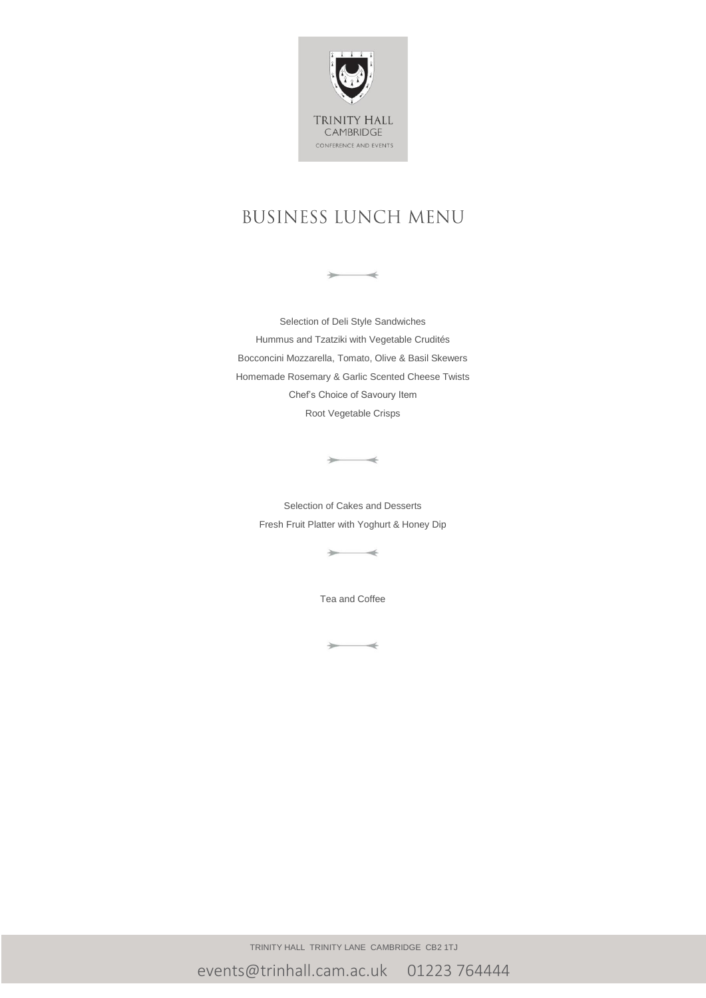

# **BUSINESS LUNCH MENU**

 $\rightarrow$ 

Selection of Deli Style Sandwiches Hummus and Tzatziki with Vegetable Crudités Bocconcini Mozzarella, Tomato, Olive & Basil Skewers Homemade Rosemary & Garlic Scented Cheese Twists Chef's Choice of Savoury Item Root Vegetable Crisps

Selection of Cakes and Desserts Fresh Fruit Platter with Yoghurt & Honey Dip

 $\rightarrow$ 

 $\rightarrow$ 

Tea and Coffee

 $\rightarrow$ 

TRINITY HALL TRINITY LANE CAMBRIDGE CB2 1TJ

events@trinhall.cam.ac.uk 01223 764444